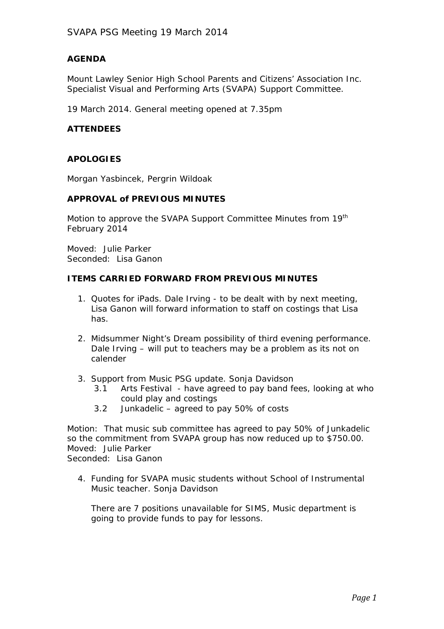## **AGENDA**

Mount Lawley Senior High School Parents and Citizens' Association Inc. Specialist Visual and Performing Arts (SVAPA) Support Committee.

19 March 2014. General meeting opened at 7.35pm

### **ATTENDEES**

# **APOLOGIES**

Morgan Yasbincek, Pergrin Wildoak

### **APPROVAL of PREVIOUS MINUTES**

Motion to approve the SVAPA Support Committee Minutes from 19<sup>th</sup> February 2014

Moved: Julie Parker Seconded: Lisa Ganon

#### **ITEMS CARRIED FORWARD FROM PREVIOUS MINUTES**

- 1. Quotes for iPads. Dale Irving to be dealt with by next meeting, Lisa Ganon will forward information to staff on costings that Lisa has.
- 2. Midsummer Night's Dream possibility of third evening performance. Dale Irving – will put to teachers may be a problem as its not on calender
- 3. Support from Music PSG update. Sonja Davidson
	- 3.1 Arts Festival have agreed to pay band fees, looking at who could play and costings
	- 3.2 Junkadelic agreed to pay 50% of costs

Motion: That music sub committee has agreed to pay 50% of Junkadelic so the commitment from SVAPA group has now reduced up to \$750.00. Moved: Julie Parker Seconded: Lisa Ganon

4. Funding for SVAPA music students without School of Instrumental Music teacher. Sonja Davidson

There are 7 positions unavailable for SIMS, Music department is going to provide funds to pay for lessons.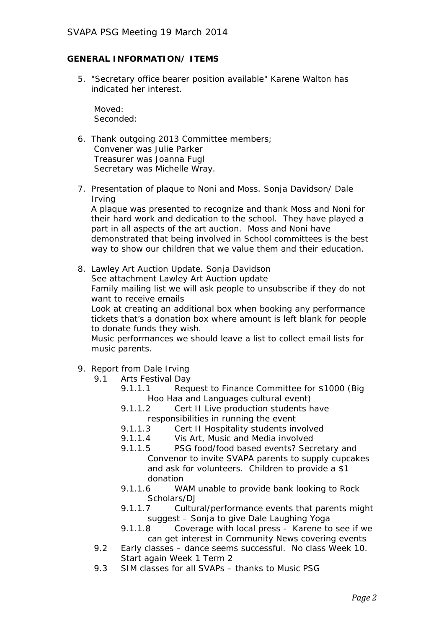### **GENERAL INFORMATION/ ITEMS**

5. "Secretary office bearer position available" Karene Walton has indicated her interest.

Moved: Seconded:

- 6. Thank outgoing 2013 Committee members; Convener was Julie Parker Treasurer was Joanna Fugl Secretary was Michelle Wray.
- 7. Presentation of plaque to Noni and Moss. Sonja Davidson/ Dale Irving

A plaque was presented to recognize and thank Moss and Noni for their hard work and dedication to the school. They have played a part in all aspects of the art auction. Moss and Noni have demonstrated that being involved in School committees is the best way to show our children that we value them and their education.

8. Lawley Art Auction Update. Sonja Davidson See attachment Lawley Art Auction update Family mailing list we will ask people to unsubscribe if they do not want to receive emails Look at creating an additional box when booking any performance tickets that's a donation box where amount is left blank for people

to donate funds they wish.

Music performances we should leave a list to collect email lists for music parents.

- 9. Report from Dale Irving
	- 9.1 Arts Festival Day
		- 9.1.1.1 Request to Finance Committee for \$1000 (Big Hoo Haa and Languages cultural event)
		- 9.1.1.2 Cert II Live production students have responsibilities in running the event
		- 9.1.1.3 Cert II Hospitality students involved
		- 9.1.1.4 Vis Art, Music and Media involved
		- 9.1.1.5 PSG food/food based events? Secretary and Convenor to invite SVAPA parents to supply cupcakes and ask for volunteers. Children to provide a \$1 donation
		- 9.1.1.6 WAM unable to provide bank looking to Rock Scholars/DJ
		- 9.1.1.7 Cultural/performance events that parents might suggest – Sonja to give Dale Laughing Yoga
		- 9.1.1.8 Coverage with local press Karene to see if we can get interest in Community News covering events
	- 9.2 Early classes dance seems successful. No class Week 10. Start again Week 1 Term 2
	- 9.3 SIM classes for all SVAPs thanks to Music PSG